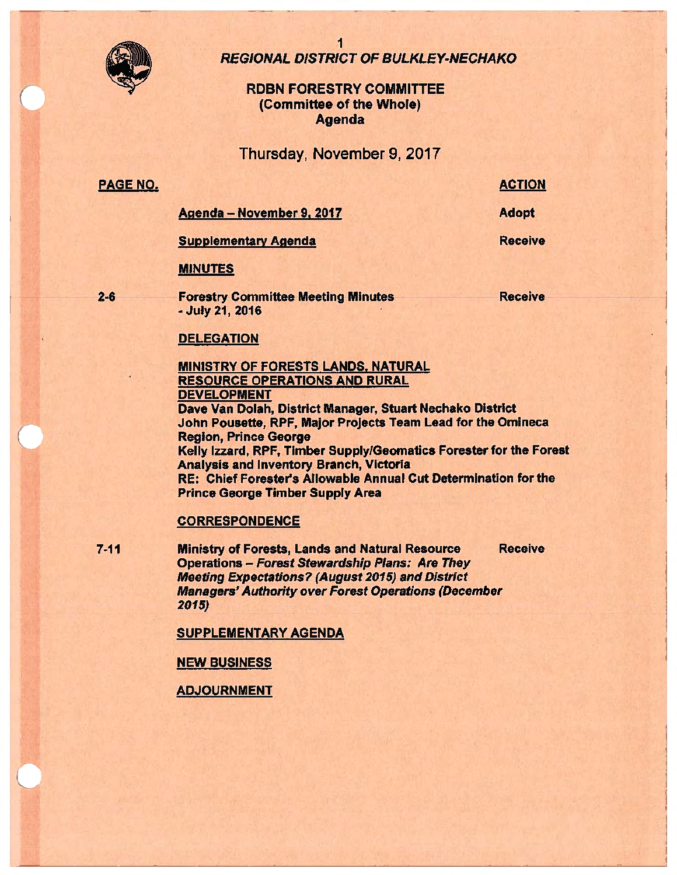

1 REGIONAL DISTRICT OF BULKLEY-NECHAKO

# RDBN FORESTRY COMMITTEE (Committee of the Whole) Agenda

Thursday, November 9, 2017

# PAGE NO.

ACTION

Agenda - November 9. 2017

Adopt **Receive** 

Supplementary **Agenda** 

MINUTES

**2-6** 

Forestry Committee Meeting Minutes • July 21, 2016

**Receive** 

### **DELEGATION**

**MINISTRY** OF FORESTS **LANDS. NATURAL**  RESOURCE OPERATIONS AND RURAL DEVELOPMENT Dave Van Dolah, District Manager, Stuart Nechako District John Pousette, RPF, Major Projects Team Lead for the Omineca Region, Prince George Kelly Izzard, RPF, Timber Supply/Geomatics Forester for the Forest Analysis and Inventory Branch, Victoria RE: Chief Forester's Allowable Annual Cut Determination for the Prince George Timber Supply **Area** 

### **CORRESPONDENCE**

7 -11 Ministry of Forests, Lands and Natural Resource Receive Operations - Forest Stewardship Plans: Are They Meeting Expectations? (August 2015) and District Managers' Authority over Forest Operations (December 2015)

SUPPLEMENTARY AGENDA

NEW BUSINESS

**ADJOURNMENT**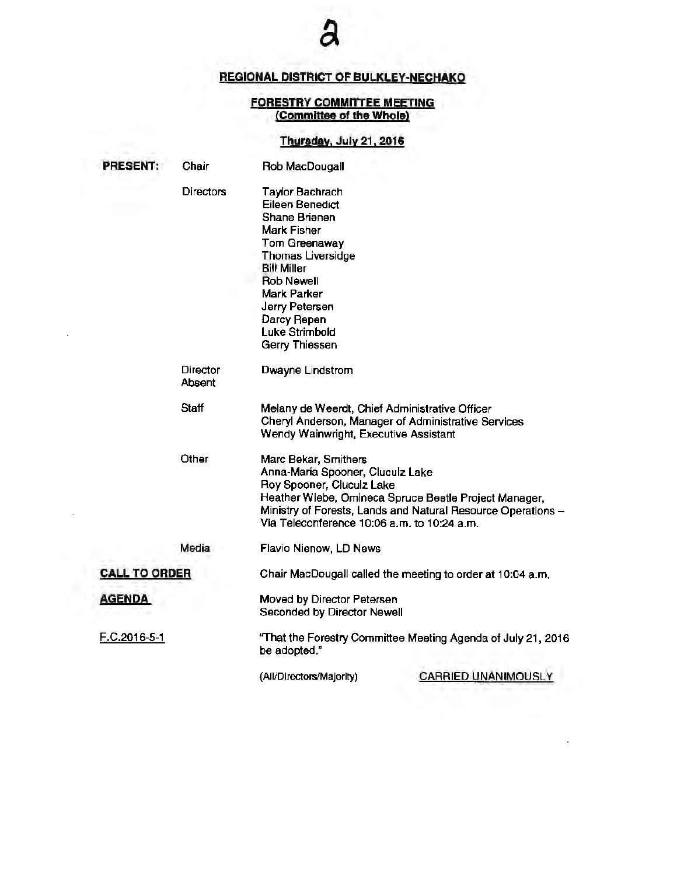# **REGIONAL DISTRICT OF BULKLEY-NECHAKO**

#### **FORESTRY COMMITTEE MEETING (Committee of the Whole)**

# **Thursday,** July 21, **2016**

|                      | <b>PRESENT:</b> | Chair              | Rob MacDougall                                                                                                                                                                                                                                        |                                                                                                                       |
|----------------------|-----------------|--------------------|-------------------------------------------------------------------------------------------------------------------------------------------------------------------------------------------------------------------------------------------------------|-----------------------------------------------------------------------------------------------------------------------|
|                      |                 | <b>Directors</b>   | <b>Taylor Bachrach</b><br><b>Eileen Benedict</b><br>Shane Brienen<br>Mark Fisher<br>Tom Greenaway<br>Thomas Liversidge<br><b>Bill Miller</b><br><b>Rob Newell</b><br>Mark Parker<br>Jerry Petersen<br>Darcy Repen<br>Luke Strimbold<br>Gerry Thiessen |                                                                                                                       |
|                      |                 | Director<br>Absent | Dwayne Lindstrom                                                                                                                                                                                                                                      |                                                                                                                       |
|                      |                 | Staff              | Melany de Weerdt, Chief Administrative Officer<br>Wendy Wainwright, Executive Assistant                                                                                                                                                               | Cheryl Anderson, Manager of Administrative Services                                                                   |
|                      |                 | Other              | Marc Bekar, Smithers<br>Anna-Maria Spooner, Cluculz Lake<br>Roy Spooner, Cluculz Lake<br>Via Teleconference 10:06 a.m. to 10:24 a.m.                                                                                                                  | Heather Wiebe, Omineca Spruce Beetle Project Manager,<br>Ministry of Forests, Lands and Natural Resource Operations - |
|                      |                 | Media              | Flavio Nienow, LD News                                                                                                                                                                                                                                |                                                                                                                       |
| <b>CALL TO ORDER</b> |                 |                    | Chair MacDougall called the meeting to order at 10:04 a.m.                                                                                                                                                                                            |                                                                                                                       |
| <b>AGENDA</b>        |                 |                    | Moved by Director Petersen<br>Seconded by Director Newell                                                                                                                                                                                             |                                                                                                                       |
|                      | F.C.2016-5-1    |                    | "That the Forestry Committee Meeting Agenda of July 21, 2016<br>be adopted."                                                                                                                                                                          |                                                                                                                       |
|                      |                 |                    | (All/Directors/Majority)                                                                                                                                                                                                                              | CARRIED UNANIMOUSLY                                                                                                   |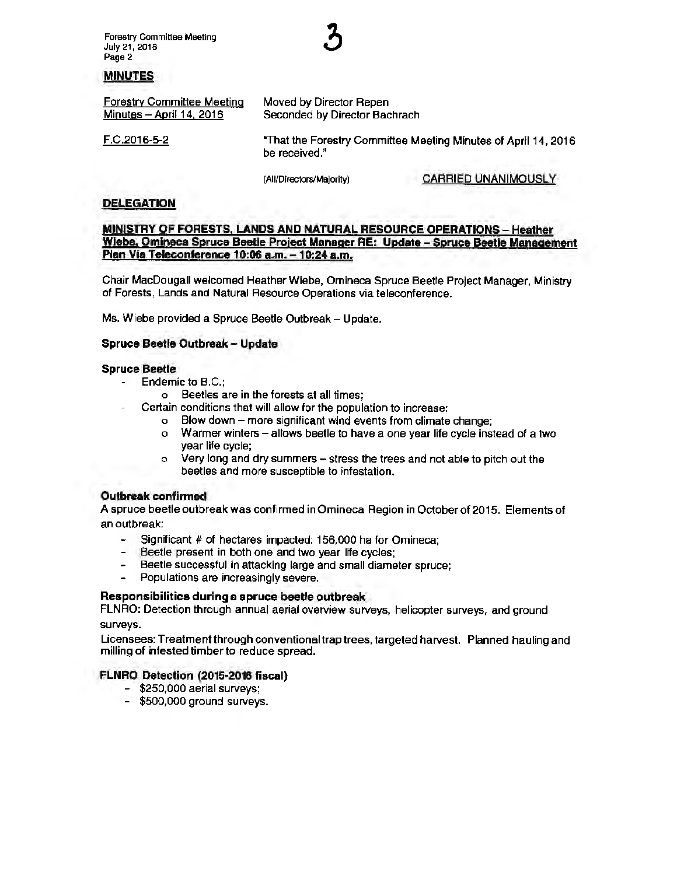Forestry Committee Meeting July 21, 2016 Page 2

#### **MINUTES**

| <b>Forestry Committee Meeting</b> | Moved by Director Repen                                                         |  |
|-----------------------------------|---------------------------------------------------------------------------------|--|
| Minutes - April 14, 2016          | Seconded by Director Bachrach                                                   |  |
| F.C.2016-5-2                      | "That the Forestry Committee Meeting Minutes of April 14, 2016<br>be received." |  |

(All/Directors/Majority) CARRIED UNANIMOUSLY

#### **DELEGATION**

**MINISTRY OF FORESTS, LANDS AND NATURAL RESOURCE OPERATIONS** - **Heather Wiebe, Omlneca Spruce Beetle Proiect Manager RE: Update** - **Spruce Beetle Management Plan Via Teleconference 10:06 a.m. -10:24 a.m.** 

Chair MacDougall welcomed Heather Wiebe, Omineca Spruce Beetle Project Manager, Ministry of Forests, Lands and Natural Resource Operations via teleconference.

Ms. Wiebe provided a Spruce Beetle Outbreak - Update.

#### **Spruce Beetle Outbreak- Update**

#### **Spruce Beetle**

- Endemic to B.C.;
	- o Beetles are in the forests at all times;
- Certain conditions that will allow for the population to increase:
	- o Blow down more significant wind events from climate change;
	- o Warmer winters allows beetle to have a one year life cycle instead of a two year life cycle;
	- o Very long and dry summers- stress the trees and not able to pitch out the beetles and more susceptible to infestation.

#### **Outbreak confirmed**

A spruce beetle outbreak was confirmed in Omineca Region in October of 2015. Elements of an outbreak:

- and the second second in the second second second in the second second second second second second second second second second second second second second second second second second second second second second second seco Significant # of hectares impacted: 156,000 ha for Omineca;
- $-$ Beetle present in both one and two year life cycles;
- Beetle successful in attacking large and small diameter spruce;
- Populations are increasingly severe.

#### **Responsibilities during a spruce beetle outbreak**

FLNRO: Detection through annual aerial overview surveys, helicopter surveys, and ground surveys.

Licensees: Treatment through conventional trap trees, targeted harvest. Planned hauling and milling of infested timber to reduce spread.

#### **FLNRO Detection (2015-2016 fiscal)**

- \$250,000 aerial surveys;
- \$500,000 ground surveys.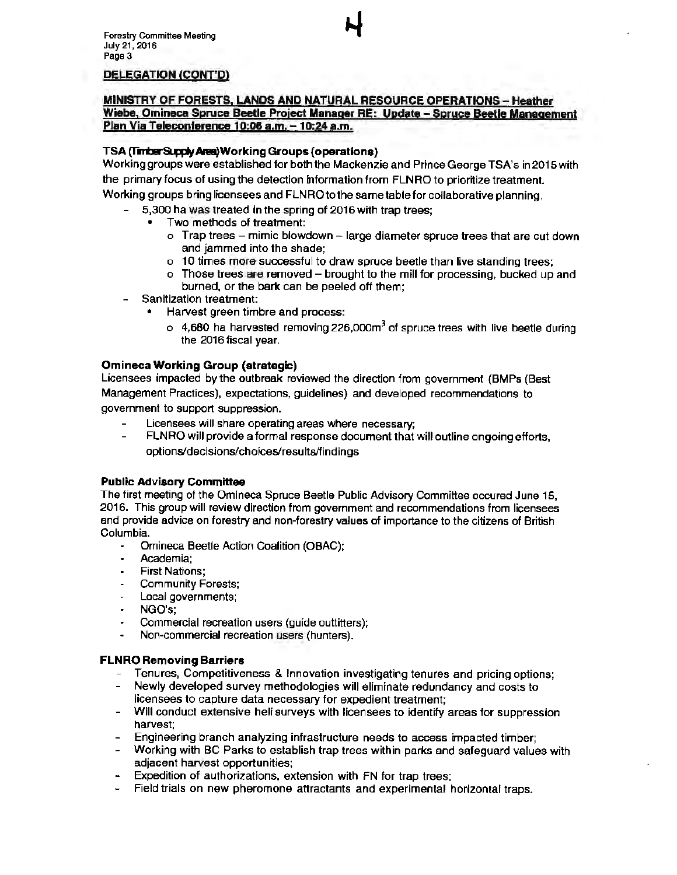#### **DELEGATION (CONT'D)**

#### **MINISTRY OF FORESTS, LANDS AND NATURAL RESOURCE OPERATIONS** - **Heather Wiebe, Omineca Spnrce Beetle Proiect Manager RE: Update** - **Spruce Beetle Management Plan Via Teleconference 10:06 a.m. -10:24 a.m.**

#### **TSA(T'm:ier~Area)WorkingGroups(operations)**

Working groups were established for both the Mackenzie and Prince George TSA's in 2015 with the primary focus of using the detection information from FLNRO to prioritize treatment. Working groups bring licensees and FLN RO to the same table for collaborative planning.

- 5,300 ha was treated in the spring of 2016 with trap trees;
	- Two methods of treatment:
		- $\circ$  Trap trees mimic blowdown large diameter spruce trees that are cut down and jammed into the shade;
		- o 10 times more successful to draw spruce beetle than live standing trees;
		- o Those trees are removed brought to the mill for processing, bucked up and burned, or the bark can be peeled off them;
- Sanitization treatment:
	- Harvest green timbre and process:
		- $\circ$  4,680 ha harvested removing 226,000m<sup>3</sup> of spruce trees with live beetle during the 2016 fiscal year.

#### **Omineca Working Group (strategic)**

Licensees impacted by the outbreak reviewed the direction from government (BMPs (Best Management Practices), expectations, guidelines) and developed recommendations to government to support suppression.

- Licensees will share operating areas where necessary;  $\blacksquare$
- FLNRO will provide a formal response document that will outline ongoing efforts, options/decisions/choices/results/findings

#### **Public Advisory Committee**

The first meeting of the Omineca Spruce Beetle Public Advisory Committee occured June 15, 2016. This group will review direction from government and recommendations from licensees and provide advice on forestry and non-forestry values of importance to the citizens of British Columbia.

- $\ddot{\phantom{0}}$ Omineca Beetle Action Coalition (OBAC);
- Academia:
- First Nations;
- Community Forests;
- Local governments;  $\bullet$  .
- NGO's;
- Commercial recreation users (guide outtitters);
- Non-commercial recreation users (hunters).

#### **FLNRO Removing Barriers**

- Tenures, Competitiveness & Innovation investigating tenures and pricing options;
- Newly developed survey methodologies will eliminate redundancy and costs to licensees to capture data necessary for expedient treatment;
- Will conduct extensive heli surveys with licensees to identify areas for suppression harvest;
- Engineering branch analyzing infrastructure needs to access impacted timber;
- Working with BC Parks to establish trap trees within parks and safeguard values with adjacent harvest opportunities;
- Expedition of authorizations, extension with FN for trap trees:
- Field trials on new pheromone attractants and experimental horizontal traps.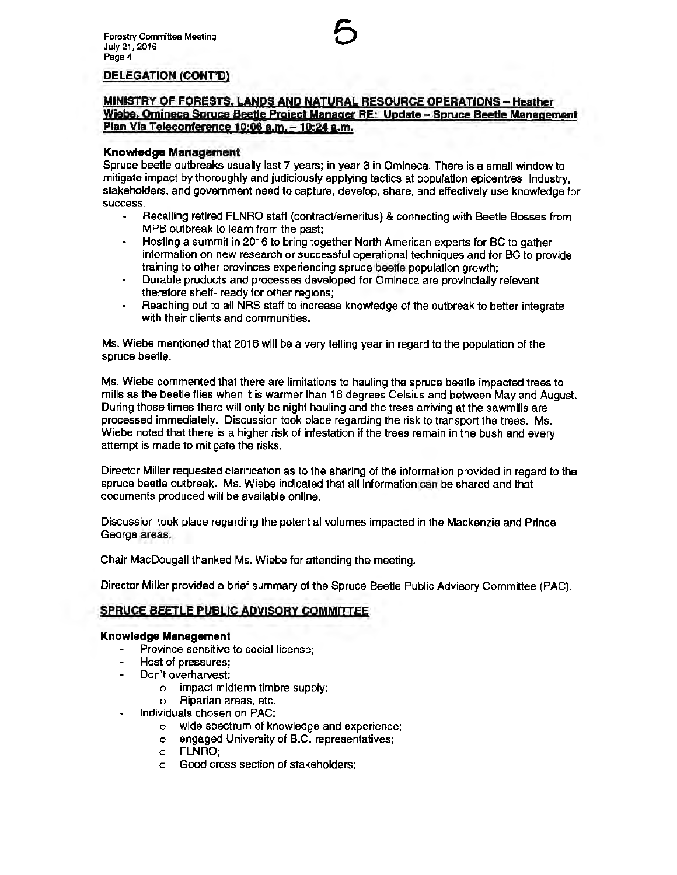# **DELEGATION (CONT'D)**

### **MINISTRY OF FORESTS. LANDS AND NATURAL RESOURCE OPERATIONS** - **Heather Wiebe. Omineca Spruce Beetle Proiect Manager RE: Update** - **Spruce Beetle Management Plan Via Teleconference 10:06 a.m.** - **10:24 a.m.**

#### **Knowledge Management**

Spruce beetle outbreaks usually last 7 years; in year 3 in Omineca. There is a small window to mitigate impact by thoroughly and judiciously applying tactics at population epicentres. Industry, stakeholders, and government need to capture, develop, share, and effectively use knowledge for success.

- Recalling retired FLNRO staff (contract/emeritus) & connecting with Beetle Bosses from MPB outbreak to learn from the past;
- Hosting a summit in 2016 to bring together North American experts for BC to gather  $\mathbf{r}$ information on new research or successful operational techniques and tor BC to provide training to other provinces experiencing spruce beetle population growth;
- Durable products and processes developed for Omineca are provincially relevant therefore shelf- ready for other regions;
- Reaching out to all NRS staff to increase knowledge of the outbreak to better integrate  $\overline{\phantom{a}}$ with their clients and communities.

Ms. Wiebe mentioned that 2016 will be a very telling year in regard to the population of the spruce beetle.

Ms. Wiebe commented that there are limitations to hauling the spruce beetle impacted trees to mills as the beetle flies when it is warmer than 16 degrees Celsius and between May and August. During those times there will only be night hauling and the trees arriving at the sawmills are processed immediately. Discussion took place regarding the risk to transport the trees. Ms. Wiebe noted that there is a higher risk of infestation if the trees remain in the bush and every attempt is made to mitigate the risks.

Director Miller requested clarification as to the sharing of the information provided in regard to the spruce beetle outbreak. Ms. Wiebe indicated that all information can be shared and that documents produced will be available online.

Discussion took place regarding the potential volumes impacted in the Mackenzie and Prince George areas.

Chair MacOougall thanked Ms. Wiebe for attending the meeting.

Director Miller provided a brief summary of the Spruce Beetle Public Advisory Committee (PAC).

# **SPRUCE BEETLE PUBLIC ADVISORY COMMITTEE**

#### **Knowledge Management**

- Province sensitive to social license;
- Host of pressures;
- Don't overharvest:
	- o impact midterm timbre supply;
	- o Riparian areas, etc.
- Individuals chosen on PAC:
	- o wide spectrum of knowledge and experience;
	- o engaged University of B.C. representatives;
	- o FLNRO;
	- o Good cross section of stakeholders;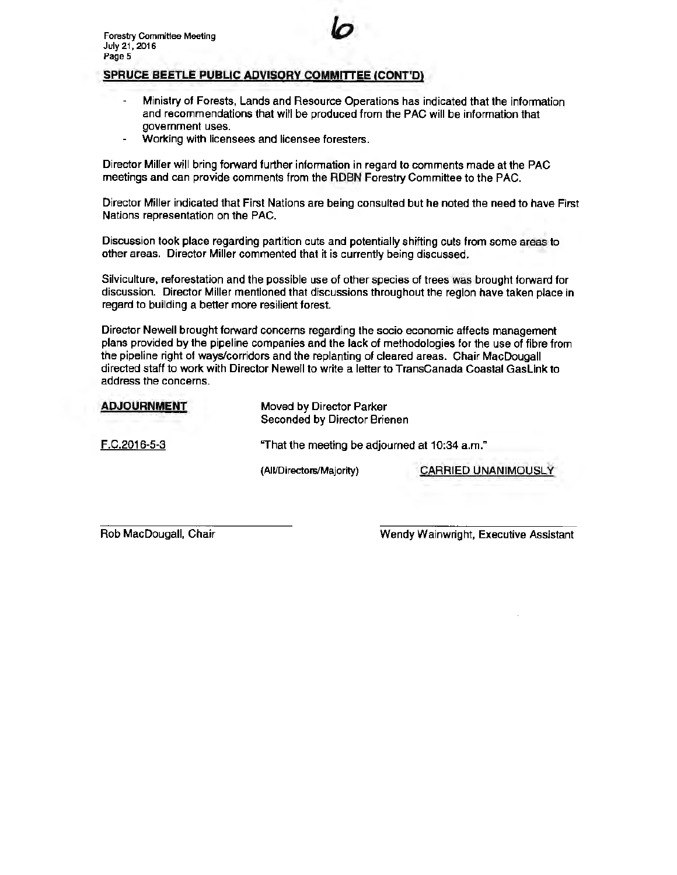# **SPRUCE BEETLE PUBLIC ADVISORY COMMITTEE (CONT'D)**

Ministry of Forests, Lands and Resource Operations has indicated that the information and recommendations that will be produced from the PAC will be information that government uses.

*lo* 

Working with licensees and licensee foresters.

Director Miller will bring forward further information in regard to comments made at the PAC meetings and can provide comments from the RDBN Forestry Committee to the PAC.

Director Miller indicated that First Nations are being consulted but he noted the need to have First Nations representation on the PAC.

Discussion took place regarding partition cuts and potentially shifting cuts from some areas to other areas. Director Miller commented that it is currently being discussed.

Silviculture, reforestation and the possible use of other species of trees was brought forward for discussion. Director Miller mentioned that discussions throughout the region have taken place in regard to building a better more resilient forest.

Director Newell brought forward concerns regarding the socio economic affects management plans provided by the pipeline companies and the lack of methodologies for the use of fibre from the pipeline right of ways/corridors and the replanting of cleared areas. Chair MacDougall directed staff to work with Director Newell to write a letter to TransCanada Coastal Gaslink to address the concerns.

| Moved by Director Parker<br>Seconded by Director Brienen |                            |  |
|----------------------------------------------------------|----------------------------|--|
| "That the meeting be adjourned at 10:34 a.m."            |                            |  |
| (All/Directors/Majority)                                 | <b>CARRIED UNANIMOUSLY</b> |  |
|                                                          |                            |  |

Rob MacDougall, Chair

Wendy Wainwright, Executive Assistant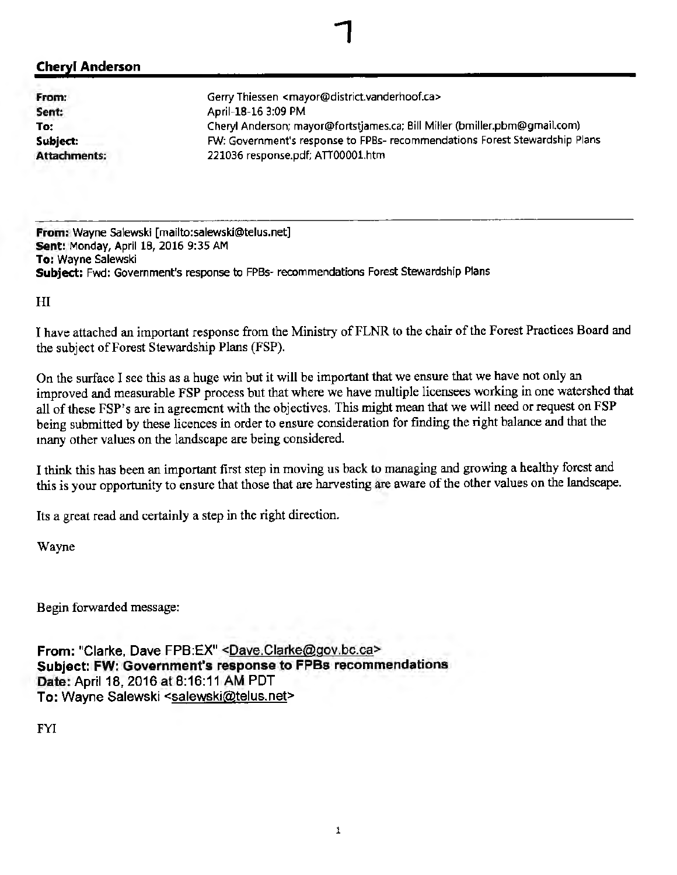# **Cheryl Anderson**

**From: Sent: To: Subject: Attachments;**  Gerry Thiessen <mayor@district.vanderhoof.ca> April-18-16 3:09 PM Cheryl Anderson; mayor@fortstjames.ca; Bill Miller (bmiller.pbm@gmail.com) FW: Government's response to FPBs- recommendations Forest Stewardship Plans 221036 response.pdf; ATIOOOOl.htm

**From:** Wayne Salewski [mailto:salewski@telus.net] **sent:** Monday, April 18, 2016 9:35 AM **To:** Wayne Salewski **Subject:** Fwd: Government's response to FPBs· recommendations Forest Stewardship Plans

HI

I have attached an important response from the Ministry of FLNR to the chair of the Forest Practices Board and the subject of Forest Stewardship Plans (FSP).

1

On the surface I see this as a huge win but it will be important that we ensure that we have not only an improved and measurable FSP process but that where we have multiple licensees working in one watershed that all of these FSP's are in agreement with the objectives. This might mean that we will need or request on FSP being submitted by these licences in order to ensure consideration for finding the right balance and that the many other values on the landscape are being considered.

I think this has been an important first step in moving us back to managing and growing a healthy forest and this is your opportunity to ensure that those that are harvesting are aware of the other values on the landscape.

Its a great read and certainly a step in the right direction.

Wayne

Begin forwarded message:

From: "Clarke, Dave FPB:EX" <Dave.Clarke@gov.bc.ca> **Subject: FW: Government's response to FPBs recommendations Date:** April 18, 2016at8:16:11 AM PDT To: Wayne Salewski <salewski@telus.net>

**FYI**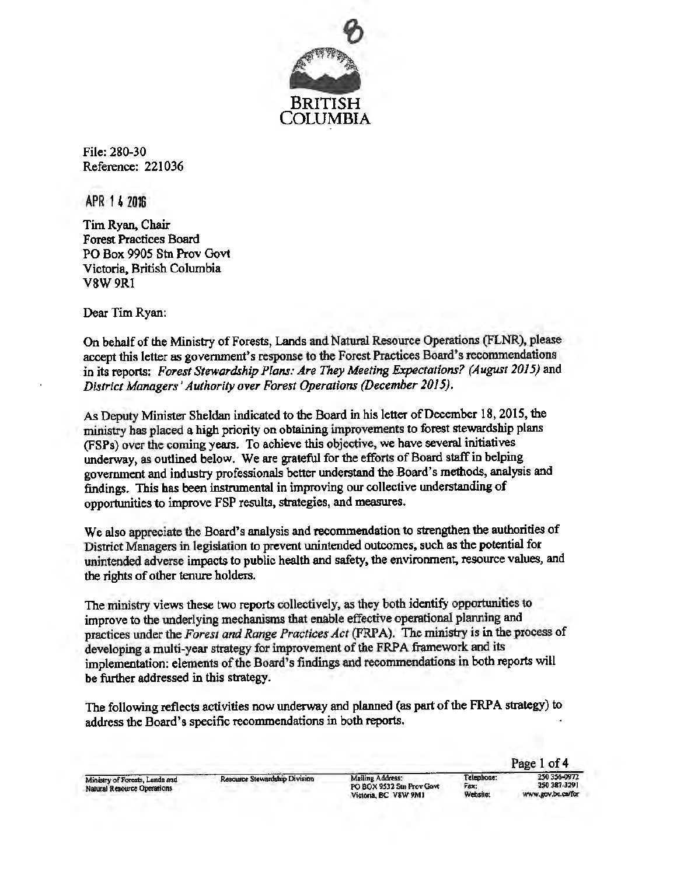

File: 280-30 Reference: 221036

APR 1 4 2016

Tim Ryan, Chair Forest Practices Board PO Box 9905 Stn Prov Govt Victoria; British Columbia V8W9Rl

Dear Tim Ryan:

On behalf of the Ministry of Forests, Lands and Natural Resource Operations (FLNR), please accept this letter as government's response to the Forest Practices Board's recommendations in its reports: *Forest Stewardship Plans: Are They Meeting Expectations? (August 2015)* and *District Managers' Authority over Forest Operations (December 2015).* 

As Deputy Minister Sheldan indicated to the Board in his letter of December 18, 2015, the ministry has placed a high priority on obtaining improvements to forest stewardship plans (FSPs) over the coming years. To achieve this objective, we have several initiatives underway, as outlined below. We are grateful for the efforts of Board staff in helping government and industry professionals better understand the Board~s methods, analysis and findings. This bas been instrumental in improving our collective understanding of opportunities to improve FSP results, strategies, and measures.

We also appreciate the Board's analysis and recommendation to strengthen the authorities of District Managers in legislation to prevent unintended outcomes, such as the potential for unintended adverse impacts to public health and safety, the environment, resource values, and the rights of other tenure holders.

The ministry views these two reports collectively, as they both identify opportunities to improve to the underlying mechanisms that enable effective operational planning and practices under the *Forest and Range Practices Act* (FRPA). The ministry is in the process of developing a multi-year strategy for improvement of the FRPA framework and its implementation: elements of the Board's findings and recommendations in both reports will be further addressed in this strategy.

The following reflects activities now underway and planned (as part of the FRPA strategy) to address the Board's specific recommendations in both reports.

Telephone: Fax: Websito: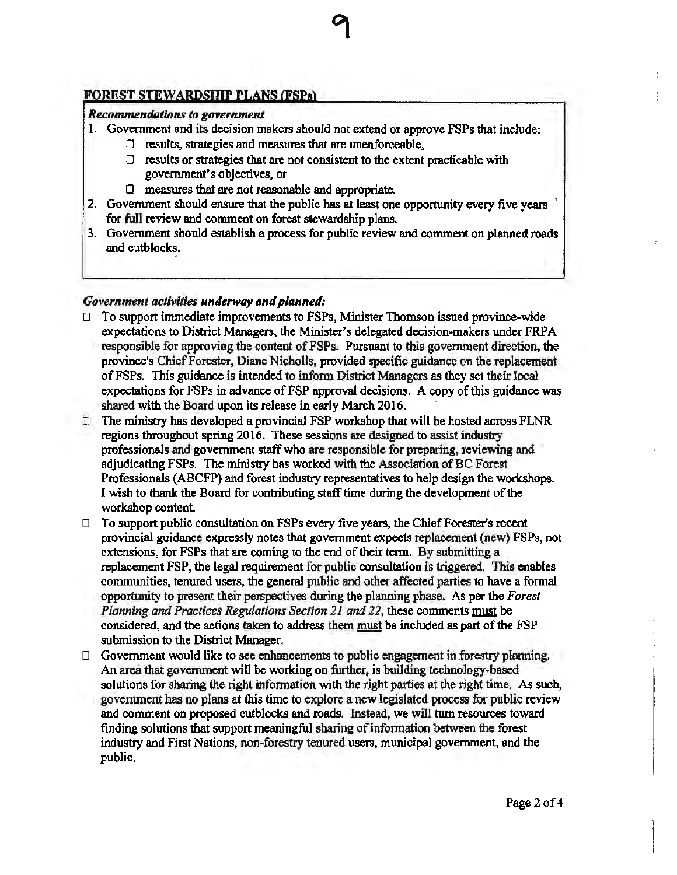# **FOREST STEWARDSHIP PLANS (FSPs)**

# *Recommendations to government*

- 1. Government and its decision makers should not extend or approve FSPs that include:
	- $\Box$  results, strategies and measures that are unenforceable,
	- $\Box$  results or strategies that are not consistent to the extent practicable with government's objectives, or
	- D measures that are not reasonable and appropriate.
- 2. Government should ensure that the public has at least one opportunity every five years for full review and comment on forest stewardship plans.
- 3. Government should establish a process for public review and comment on planned roads and cutblocks.

# *Government activities underway and planned:*

- $\Box$  To support immediate improvements to FSPs, Minister Thomson issued province-wide expectations to District Managers, the Minister's delegated decision-makers under FRPA responsible for approving the content of FSPs. Pursuant to this government direction, the province's Chief Forester, Diane Nicholls, provided specific guidance on the replacement of FSPs. This guidance is intended to inform District Managers as they set their local expectations for FSPs in advance of FSP approval decisions. A copy of this guidance was shared with the Board upon its release in early March 2016.
- $\Box$  The ministry has developed a provincial FSP workshop that will be hosted across FLNR regions throughout spring 2016. These sessions are designed to assist industry professionals and government staff who are responsible for preparing, reviewing and adjudicating FSPs. The ministry bas worked with the Association of BC Forest Professionals (ABCFP) and forest industry representatives to help design the workshops. I wish to thank the Board for contributing staff time during the development of the workshop content.
- $\Box$  To support public consultation on FSPs every five years, the Chief Forester's recent provincial guidance expressly notes that goverrunent expects replacement (new) FSPs, not extensions, for FSPs that are coming to the end of their term. By submitting a replacement FSP, the legal requirement for public consultation is triggered. This enables conununities, tenured users, the general public and other affected parties to have a fonnal opportunity to present their perspectives during the plaruring phase. As per the *Forest Planning and Practices Regulations Section 21 and 22,* these comments must be considered, and the actions taken to address them must be included as part of the FSP submission to the District Manager.
- $\Box$  Government would like to see enhancements to public engagement in forestry planning. An area that government will be working on further, is building technology-based solutions for sharing the right information with the right parties at the right time. As such, government has no plans at this time to explore a new legislated process for public review and comment on proposed cutblocks and roads. Instead, we will tum resources toward finding solutions that support meaningful sharing of infonnation between the forest industry and First Nations, non-forestry tenured users, municipal government, and the public.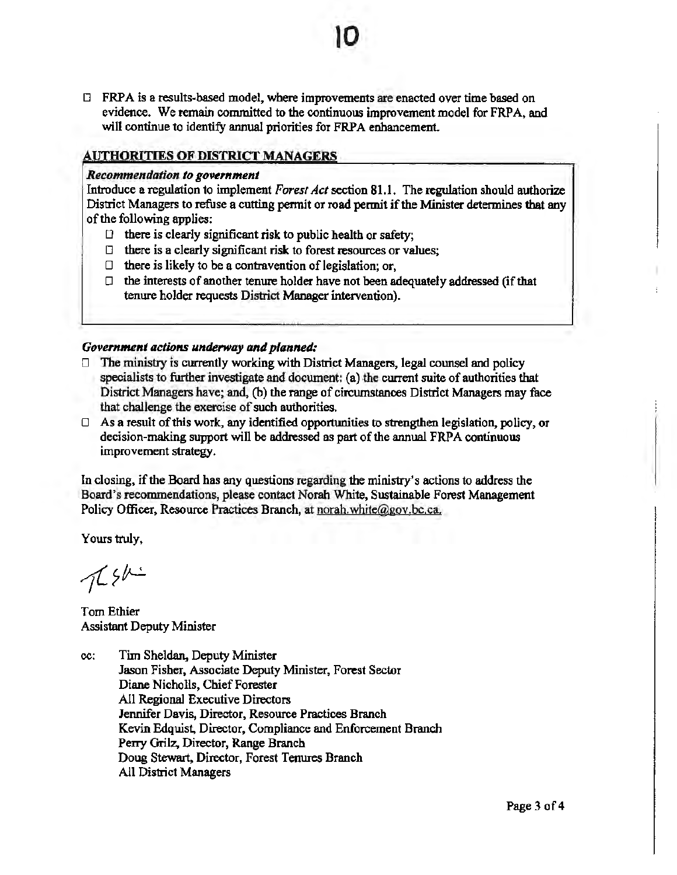$\Box$  FRPA is a results-based model, where improvements are enacted over time based on evidence. We remain committed to the continuous improvement model for FRPA, and will continue to identify annual priorities for FRPA enhancement.

10

# **AUTHORITIES OF DISTRICT MANAGERS**

#### *Recommendation to government*

Introduce a regulation to implement *Forest Act* section 81.1. The regulation should authorize District Managers to refuse a cutting permit or road permit if the Minister determines that any of the following applies:

- $\Box$  there is clearly significant risk to public health or safety;
- $\Box$  there is a clearly significant risk to forest resources or values;
- $\Box$  there is likely to be a contravention of legislation; or,
- $\Box$  the interests of another tenure holder have not been adequately addressed (if that tenure holder requests District Manager intervention).

### *Government actions underway and planned:*

- $\Box$  The ministry is currently working with District Managers, legal counsel and policy specialists to further investigate and document: (a) the current suite of authorities that District Managers have; and, (b) the range of circumstances District Managers may face that challenge the exercise of such authorities.
- D As a result of this work, any identified opportunities to strengthen legislation, policy, or decision-making support will be addressed as part of the annual FRPA continuous improvement strategy.

In closing, if the Board has any questions regarding the ministry's actions to address the Board's recommendations, please contact Norah White, Sustainable Forest Management Policy Officer, Resource Practices Branch, at norah.white@gov.bc.ca.

Yours truly,

 $766$ 

Tom Ethier Assistant Deputy Minister

cc: Tim Sheldan, Deputy Minister Jason Fisher, Associate Deputy Minister, Forest Sector Diane Nicholls. Chief Forester All Regional Executive Directors Jennifer Davis, Director, Resource Practices Branch Kevin Edquist, Director, Compliance and Enforcement Branch Perry Grilz, Director, Range Branch Doug Stewart, Director. Forest Tenures Branch All District Managers